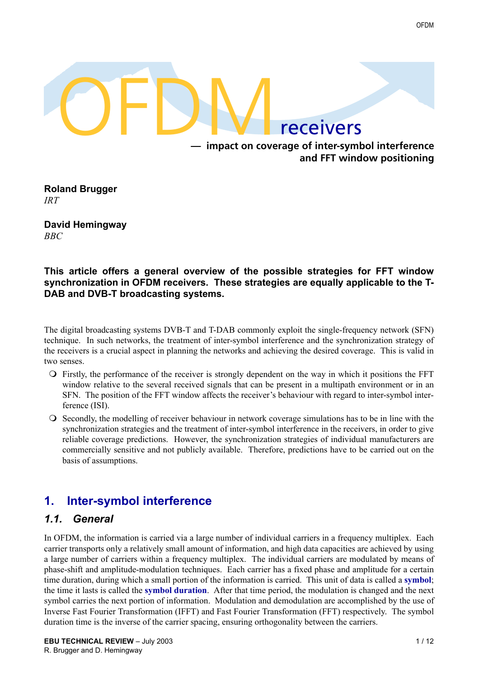

#### **— impact on coverage of inter-symbol interference and FFT window positioning**

**Roland Brugger** *IRT*

**David Hemingway** *BBC*

#### **This article offers a general overview of the possible strategies for FFT window synchronization in OFDM receivers. These strategies are equally applicable to the T-DAB and DVB-T broadcasting systems.**

The digital broadcasting systems DVB-T and T-DAB commonly exploit the single-frequency network (SFN) technique. In such networks, the treatment of inter-symbol interference and the synchronization strategy of the receivers is a crucial aspect in planning the networks and achieving the desired coverage. This is valid in two senses.

- ! Firstly, the performance of the receiver is strongly dependent on the way in which it positions the FFT window relative to the several received signals that can be present in a multipath environment or in an SFN. The position of the FFT window affects the receiver's behaviour with regard to inter-symbol interference (ISI).
- ! Secondly, the modelling of receiver behaviour in network coverage simulations has to be in line with the synchronization strategies and the treatment of inter-symbol interference in the receivers, in order to give reliable coverage predictions. However, the synchronization strategies of individual manufacturers are commercially sensitive and not publicly available. Therefore, predictions have to be carried out on the basis of assumptions.

# **1. Inter-symbol interference**

### *1.1. General*

In OFDM, the information is carried via a large number of individual carriers in a frequency multiplex. Each carrier transports only a relatively small amount of information, and high data capacities are achieved by using a large number of carriers within a frequency multiplex. The individual carriers are modulated by means of phase-shift and amplitude-modulation techniques. Each carrier has a fixed phase and amplitude for a certain time duration, during which a small portion of the information is carried. This unit of data is called a **symbol**; the time it lasts is called the **symbol duration**. After that time period, the modulation is changed and the next symbol carries the next portion of information. Modulation and demodulation are accomplished by the use of Inverse Fast Fourier Transformation (IFFT) and Fast Fourier Transformation (FFT) respectively. The symbol duration time is the inverse of the carrier spacing, ensuring orthogonality between the carriers.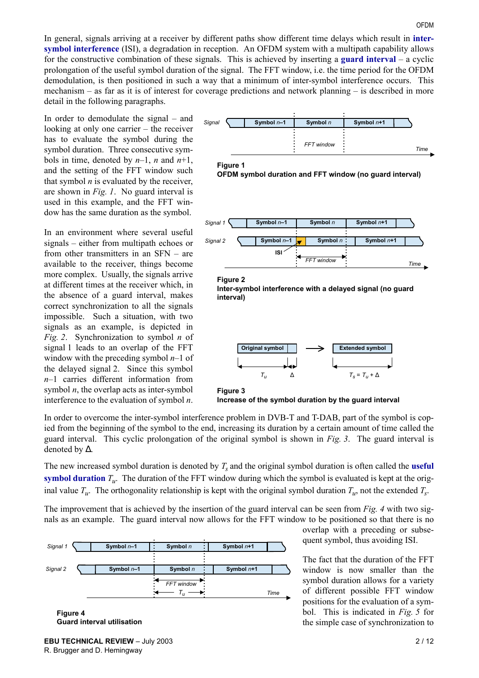In general, signals arriving at a receiver by different paths show different time delays which result in **intersymbol interference** (ISI), a degradation in reception. An OFDM system with a multipath capability allows for the constructive combination of these signals. This is achieved by inserting a **guard interval** – a cyclic prolongation of the useful symbol duration of the signal. The FFT window, i.e. the time period for the OFDM demodulation, is then positioned in such a way that a minimum of inter-symbol interference occurs. This mechanism  $-$  as far as it is of interest for coverage predictions and network planning  $-$  is described in more detail in the following paragraphs.

In order to demodulate the signal  $-$  and looking at only one carrier  $-$  the receiver has to evaluate the symbol during the symbol duration. Three consecutive symbols in time, denoted by  $n-1$ ,  $n$  and  $n+1$ , and the setting of the FFT window such that symbol  $n$  is evaluated by the receiver, are shown in *Fig. 1*. No guard interval is used in this example, and the FFT window has the same duration as the symbol.

In an environment where several useful signals  $-$  either from multipath echoes or from other transmitters in an  $SFN - are$ available to the receiver, things become more complex. Usually, the signals arrive at different times at the receiver which, in the absence of a guard interval, makes correct synchronization to all the signals impossible. Such a situation, with two signals as an example, is depicted in *Fig. 2*. Synchronization to symbol *n* of signal 1 leads to an overlap of the FFT window with the preceding symbol  $n-1$  of the delayed signal 2. Since this symbol  $n-1$  carries different information from symbol  $n$ , the overlap acts as inter-symbol interference to the evaluation of symbol *n*.









#### **Figure 2**







In order to overcome the inter-symbol interference problem in DVB-T and T-DAB, part of the symbol is copied from the beginning of the symbol to the end, increasing its duration by a certain amount of time called the guard interval. This cyclic prolongation of the original symbol is shown in *Fig. 3*. The guard interval is denoted by ∆.

The new increased symbol duration is denoted by  $T_s$  and the original symbol duration is often called the **useful symbol duration**  $T_u$ . The duration of the FFT window during which the symbol is evaluated is kept at the original value  $T_u$ . The orthogonality relationship is kept with the original symbol duration  $T_u$ , not the extended  $T_s$ .

The improvement that is achieved by the insertion of the guard interval can be seen from *Fig. 4* with two signals as an example. The guard interval now allows for the FFT window to be positioned so that there is no



overlap with a preceding or subsequent symbol, thus avoiding ISI.

The fact that the duration of the FFT window is now smaller than the symbol duration allows for a variety of different possible FFT window positions for the evaluation of a symbol. This is indicated in *Fig. 5* for the simple case of synchronization to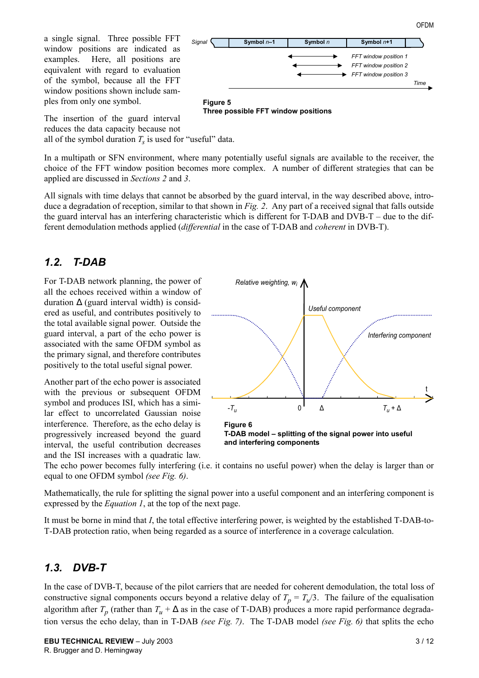a single signal. Three possible FFT window positions are indicated as examples. Here, all positions are equivalent with regard to evaluation of the symbol, because all the FFT window positions shown include samples from only one symbol.



OFDM

**Three possible FFT window positions**

The insertion of the guard interval reduces the data capacity because not

all of the symbol duration  $T_s$  is used for "useful" data.

In a multipath or SFN environment, where many potentially useful signals are available to the receiver, the choice of the FFT window position becomes more complex. A number of different strategies that can be applied are discussed in *Sections 2* and *3*.

All signals with time delays that cannot be absorbed by the guard interval, in the way described above, introduce a degradation of reception, similar to that shown in *Fig. 2*. Any part of a received signal that falls outside the guard interval has an interfering characteristic which is different for T-DAB and  $DVB-T -$  due to the different demodulation methods applied (*differential* in the case of T-DAB and *coherent* in DVB-T).

#### *1.2. T-DAB*

For T-DAB network planning, the power of all the echoes received within a window of duration  $\Delta$  (guard interval width) is considered as useful, and contributes positively to the total available signal power. Outside the guard interval, a part of the echo power is associated with the same OFDM symbol as the primary signal, and therefore contributes positively to the total useful signal power.

Another part of the echo power is associated with the previous or subsequent OFDM symbol and produces ISI, which has a similar effect to uncorrelated Gaussian noise interference. Therefore, as the echo delay is progressively increased beyond the guard interval, the useful contribution decreases and the ISI increases with a quadratic law.



The echo power becomes fully interfering (i.e. it contains no useful power) when the delay is larger than or equal to one OFDM symbol *(see Fig. 6)*.

Mathematically, the rule for splitting the signal power into a useful component and an interfering component is expressed by the *Equation 1*, at the top of the next page.

It must be borne in mind that *I*, the total effective interfering power, is weighted by the established T-DAB-to-T-DAB protection ratio, when being regarded as a source of interference in a coverage calculation.

### *1.3. DVB-T*

In the case of DVB-T, because of the pilot carriers that are needed for coherent demodulation, the total loss of constructive signal components occurs beyond a relative delay of  $T_p = T_u/3$ . The failure of the equalisation algorithm after  $T_p$  (rather than  $T_u + \Delta$  as in the case of T-DAB) produces a more rapid performance degradation versus the echo delay, than in T-DAB *(see Fig. 7)*. The T-DAB model *(see Fig. 6)* that splits the echo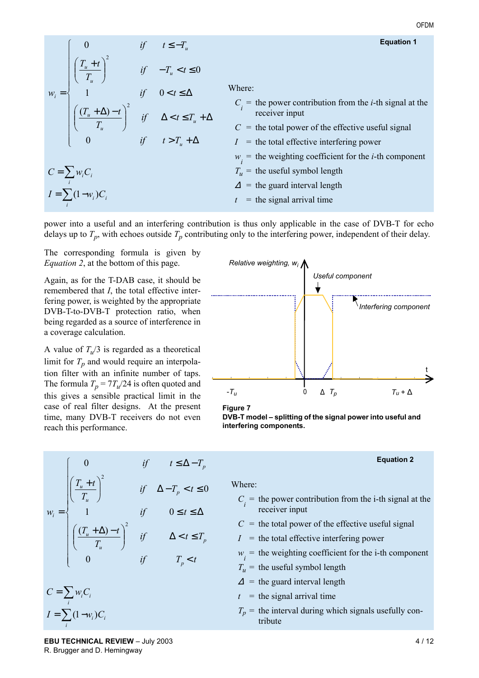Equation 1  
\n
$$
w_i = \begin{cases}\n0 & \text{if } t \leq -T_u \\
\left(\frac{T_u + t}{T_u}\right)^2 & \text{if } -T_u < t \leq 0 \\
1 & \text{if } 0 < t \leq \Delta \\
\left(\frac{(T_u + \Delta) - t}{T_u}\right)^2 & \text{if } \Delta < t \leq T_u + \Delta \\
0 & \text{if } t > T_u + \Delta \\
\end{cases}
$$
\nWhere:  
\n
$$
C_i = \text{ the power contribution from the } i\text{-th signal at the receiver input}
$$
\n
$$
C = \text{ the total power of the effective useful signal}
$$
\n
$$
C = \sum_i w_i C_i
$$
\n
$$
T_u = \text{ the total effective interfering power}
$$
\n
$$
T_u = \text{ the weighting coefficient for the } i\text{-th component}
$$
\n
$$
T_u = \text{ the useful symbol length}
$$
\n
$$
A = \text{ the guard interval length}
$$
\n
$$
t = \text{the signal arrival time}
$$

power into a useful and an interfering contribution is thus only applicable in the case of DVB-T for echo delays up to  $T_p$ , with echoes outside  $T_p$  contributing only to the interfering power, independent of their delay.

The corresponding formula is given by *Equation 2*, at the bottom of this page.

Again, as for the T-DAB case, it should be remembered that *I*, the total effective interfering power, is weighted by the appropriate DVB-T-to-DVB-T protection ratio, when being regarded as a source of interference in a coverage calculation.

A value of  $T_u/3$  is regarded as a theoretical limit for  $T_p$  and would require an interpolation filter with an infinite number of taps. The formula  $T_p = 7T_u/24$  is often quoted and this gives a sensible practical limit in the case of real filter designs. At the present time, many DVB-T receivers do not even reach this performance.





DVB-T model - splitting of the signal power into useful and **interfering components.**

|                                                  |                                                                                                                                                                                                                                                                                                         |  | if $t \leq \Delta - T_n$ | <b>Equation 2</b>                                                                                                                                                                                                                                                                             |  |  |  |
|--------------------------------------------------|---------------------------------------------------------------------------------------------------------------------------------------------------------------------------------------------------------------------------------------------------------------------------------------------------------|--|--------------------------|-----------------------------------------------------------------------------------------------------------------------------------------------------------------------------------------------------------------------------------------------------------------------------------------------|--|--|--|
|                                                  | $w_i = \begin{cases} 0 & \text{if} & t \leq \Delta - T_p \\ \left(\frac{T_u + t}{T_u}\right)^2 & \text{if} & \Delta - T_p < t \leq 0 \\ 1 & \text{if} & 0 \leq t \leq \Delta \\ \left(\frac{(T_u + \Delta) - t}{T_u}\right)^2 & \text{if} & \Delta < t \leq T_p \\ 0 & \text{if} & T_p < t \end{cases}$ |  |                          | Where:<br>$C_i$ = the power contribution from the i-th signal at the<br>receiver input<br>$C =$ the total power of the effective useful signal<br>$I =$ the total effective interfering power<br>$w_i$ = the weighting coefficient for the i-th component<br>$T_u$ = the useful symbol length |  |  |  |
| $C = \sum_i w_i C_i$<br>$I = \sum (1 - w_i) C_i$ |                                                                                                                                                                                                                                                                                                         |  |                          | $\Delta$ = the guard interval length<br>$t =$ the signal arrival time                                                                                                                                                                                                                         |  |  |  |
|                                                  |                                                                                                                                                                                                                                                                                                         |  |                          | $T_p$ = the interval during which signals usefully con-<br>tribute                                                                                                                                                                                                                            |  |  |  |

**EBU TECHNICAL REVIEW**  $-$  July 2003  $4/12$ R. Brugger and D. Hemingway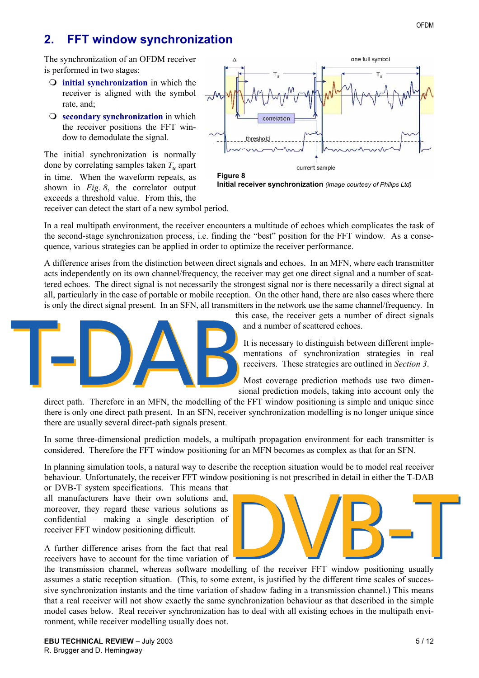# **2. FFT window synchronization**

The synchronization of an OFDM receiver is performed in two stages:

- ! **initial synchronization** in which the receiver is aligned with the symbol rate, and;
- **O** secondary synchronization in which the receiver positions the FFT window to demodulate the signal.

The initial synchronization is normally done by correlating samples taken *Tu* apart in time. When the waveform repeats, as shown in *Fig. 8*, the correlator output exceeds a threshold value. From this, the



![](_page_4_Figure_6.jpeg)

receiver can detect the start of a new symbol period.

In a real multipath environment, the receiver encounters a multitude of echoes which complicates the task of the second-stage synchronization process, i.e. finding the "best" position for the FFT window. As a consequence, various strategies can be applied in order to optimize the receiver performance.

A difference arises from the distinction between direct signals and echoes. In an MFN, where each transmitter acts independently on its own channel/frequency, the receiver may get one direct signal and a number of scattered echoes. The direct signal is not necessarily the strongest signal nor is there necessarily a direct signal at all, particularly in the case of portable or mobile reception. On the other hand, there are also cases where there is only the direct signal present. In an SFN, all transmitters in the network use the same channel/frequency. In

![](_page_4_Picture_10.jpeg)

this case, the receiver gets a number of direct signals and a number of scattered echoes.

It is necessary to distinguish between different implementations of synchronization strategies in real receivers. These strategies are outlined in *Section 3*.

Most coverage prediction methods use two dimensional prediction models, taking into account only the

direct path. Therefore in an MFN, the modelling of the FFT window positioning is simple and unique since there is only one direct path present. In an SFN, receiver synchronization modelling is no longer unique since there are usually several direct-path signals present.

In some three-dimensional prediction models, a multipath propagation environment for each transmitter is considered. Therefore the FFT window positioning for an MFN becomes as complex as that for an SFN.

In planning simulation tools, a natural way to describe the reception situation would be to model real receiver behaviour. Unfortunately, the receiver FFT window positioning is not prescribed in detail in either the T-DAB or DVB-T system specifications. This means that

all manufacturers have their own solutions and, moreover, they regard these various solutions as confidential  $-$  making a single description of receiver FFT window positioning difficult.

A further difference arises from the fact that real receivers have to account for the time variation of

the transmission channel, whereas software modelling of the receiver FFT window positioning usually assumes a static reception situation. (This, to some extent, is justified by the different time scales of successive synchronization instants and the time variation of shadow fading in a transmission channel.) This means that a real receiver will not show exactly the same synchronization behaviour as that described in the simple model cases below. Real receiver synchronization has to deal with all existing echoes in the multipath environment, while receiver modelling usually does not.

![](_page_4_Picture_21.jpeg)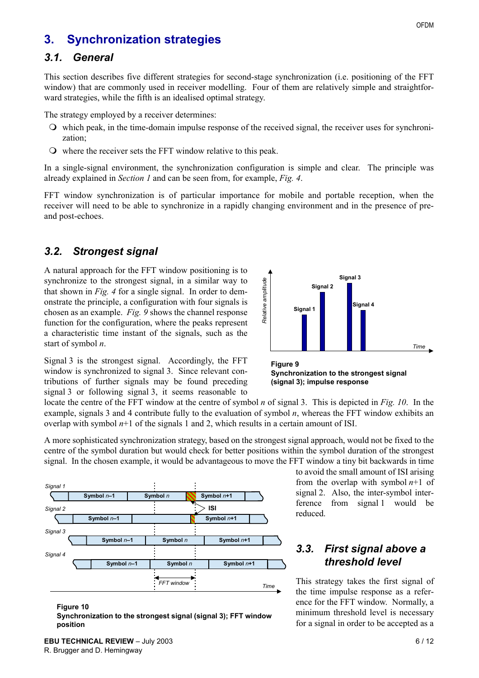## **3. Synchronization strategies**

#### *3.1. General*

This section describes five different strategies for second-stage synchronization (i.e. positioning of the FFT window) that are commonly used in receiver modelling. Four of them are relatively simple and straightforward strategies, while the fifth is an idealised optimal strategy.

The strategy employed by a receiver determines:

- ! which peak, in the time-domain impulse response of the received signal, the receiver uses for synchronization;
- ! where the receiver sets the FFT window relative to this peak.

In a single-signal environment, the synchronization configuration is simple and clear. The principle was already explained in *Section 1* and can be seen from, for example, *Fig. 4*.

FFT window synchronization is of particular importance for mobile and portable reception, when the receiver will need to be able to synchronize in a rapidly changing environment and in the presence of preand post-echoes.

## <span id="page-5-1"></span>*3.2. Strongest signal*

A natural approach for the FFT window positioning is to synchronize to the strongest signal, in a similar way to that shown in *Fig. 4* for a single signal. In order to demonstrate the principle, a configuration with four signals is chosen as an example. *Fig. 9* shows the channel response function for the configuration, where the peaks represent a characteristic time instant of the signals, such as the start of symbol *n*.

![](_page_5_Figure_10.jpeg)

Signal 3 is the strongest signal. Accordingly, the FFT window is synchronized to signal 3. Since relevant contributions of further signals may be found preceding signal 3 or following signal 3, it seems reasonable to

![](_page_5_Figure_12.jpeg)

locate the centre of the FFT window at the centre of symbol *n* of signal 3. This is depicted in *Fig. 10*. In the example, signals 3 and 4 contribute fully to the evaluation of symbol *n*, whereas the FFT window exhibits an overlap with symbol  $n+1$  of the signals 1 and 2, which results in a certain amount of ISI.

A more sophisticated synchronization strategy, based on the strongest signal approach, would not be fixed to the centre of the symbol duration but would check for better positions within the symbol duration of the strongest signal. In the chosen example, it would be advantageous to move the FFT window a tiny bit backwards in time

![](_page_5_Figure_15.jpeg)

#### <span id="page-5-0"></span>**Figure 10**

**Synchronization to the strongest signal (signal 3); FFT window position**

to avoid the small amount of ISI arising from the overlap with symbol *n*+1 of signal 2. Also, the inter-symbol interference from signal 1 would be reduced.

### *3.3. First signal above a threshold level*

This strategy takes the first signal of the time impulse response as a reference for the FFT window. Normally, a minimum threshold level is necessary for a signal in order to be accepted as a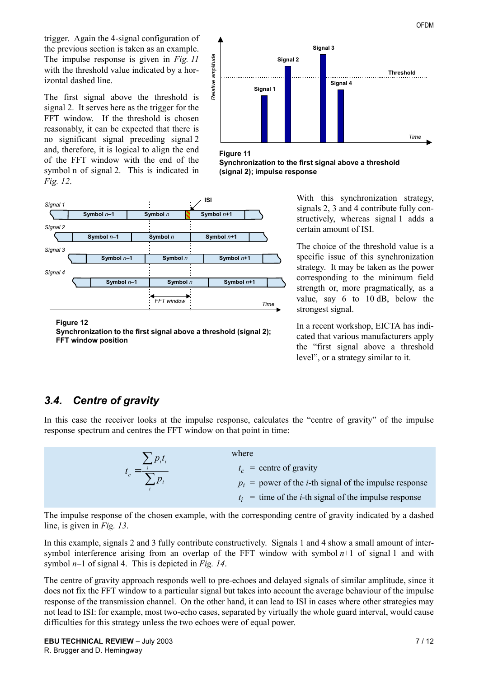trigger. Again the 4-signal configuration of the previous section is taken as an example. The impulse response is given in *Fig. 11* with the threshold value indicated by a horizontal dashed line.

The first signal above the threshold is signal 2. It serves here as the trigger for the FFT window. If the threshold is chosen reasonably, it can be expected that there is no significant signal preceding signal 2 and, therefore, it is logical to align the end of the FFT window with the end of the symbol n of signal 2. This is indicated in *Fig. 12*.

![](_page_6_Figure_2.jpeg)

**Figure 11**

**Synchronization to the first signal above a threshold (signal 2); impulse response**

![](_page_6_Figure_5.jpeg)

**Figure 12**

**Synchronization to the first signal above a threshold (signal 2); FFT window position**

With this synchronization strategy, signals 2, 3 and 4 contribute fully constructively, whereas signal 1 adds a certain amount of ISI.

The choice of the threshold value is a specific issue of this synchronization strategy. It may be taken as the power corresponding to the minimum field strength or, more pragmatically, as a value, say 6 to 10 dB, below the strongest signal.

In a recent workshop, EICTA has indicated that various manufacturers apply the "first signal above a threshold" level", or a strategy similar to it.

## <span id="page-6-0"></span>*3.4. Centre of gravity*

In this case the receiver looks at the impulse response, calculates the "centre of gravity" of the impulse response spectrum and centres the FFT window on that point in time:

| $\sum p_i t_i$             | where                                                            |
|----------------------------|------------------------------------------------------------------|
| $t_c = \frac{i}{\sum p_i}$ | $t_c$ = centre of gravity                                        |
|                            | $p_i$ = power of the <i>i</i> -th signal of the impulse response |
|                            | $t_i$ = time of the <i>i</i> -th signal of the impulse response  |

The impulse response of the chosen example, with the corresponding centre of gravity indicated by a dashed line, is given in *Fig. 13*.

In this example, signals 2 and 3 fully contribute constructively. Signals 1 and 4 show a small amount of intersymbol interference arising from an overlap of the FFT window with symbol *n*+1 of signal 1 and with symbol  $n-1$  of signal 4. This is depicted in *Fig. 14*.

The centre of gravity approach responds well to pre-echoes and delayed signals of similar amplitude, since it does not fix the FFT window to a particular signal but takes into account the average behaviour of the impulse response of the transmission channel. On the other hand, it can lead to ISI in cases where other strategies may not lead to ISI: for example, most two-echo cases, separated by virtually the whole guard interval, would cause difficulties for this strategy unless the two echoes were of equal power.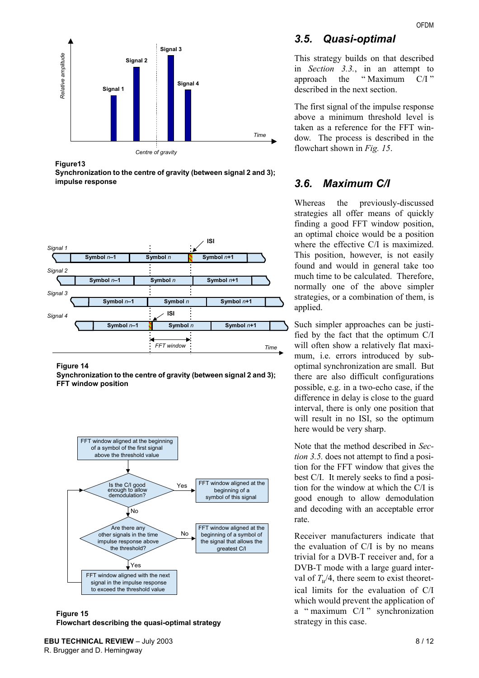<span id="page-7-0"></span>![](_page_7_Figure_1.jpeg)

**Figure13**

**Synchronization to the centre of gravity (between signal 2 and 3); impulse response**

![](_page_7_Figure_4.jpeg)

**Figure 14**

**Synchronization to the centre of gravity (between signal 2 and 3); FFT window position**

![](_page_7_Figure_7.jpeg)

**Figure 15 Flowchart describing the quasi-optimal strategy**

## *3.5. Quasi-optimal*

This strategy builds on that described in *Section [3.3.](#page-5-0)*, in an attempt to approach the "Maximum C/I" described in the next section.

The first signal of the impulse response above a minimum threshold level is taken as a reference for the FFT window. The process is described in the flowchart shown in *Fig. 15*.

## *3.6. Maximum C/I*

Whereas the previously-discussed strategies all offer means of quickly finding a good FFT window position, an optimal choice would be a position where the effective C/I is maximized. This position, however, is not easily found and would in general take too much time to be calculated. Therefore, normally one of the above simpler strategies, or a combination of them, is applied.

Such simpler approaches can be justified by the fact that the optimum C/I will often show a relatively flat maximum, i.e. errors introduced by suboptimal synchronization are small. But there are also difficult configurations possible, e.g. in a two-echo case, if the difference in delay is close to the guard interval, there is only one position that will result in no ISI, so the optimum here would be very sharp.

Note that the method described in *Section [3.5.](#page-7-0)* does not attempt to find a position for the FFT window that gives the best C/I. It merely seeks to find a position for the window at which the C/I is good enough to allow demodulation and decoding with an acceptable error rate.

Receiver manufacturers indicate that the evaluation of C/I is by no means trivial for a DVB-T receiver and, for a DVB-T mode with a large guard interval of  $T_{\nu}/4$ , there seem to exist theoretical limits for the evaluation of C/I which would prevent the application of a "maximum  $C/I$ " synchronization strategy in this case.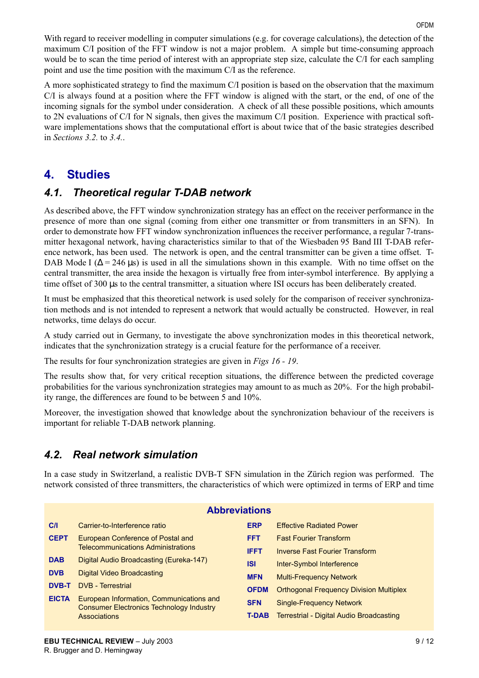A more sophisticated strategy to find the maximum C/I position is based on the observation that the maximum C/I is always found at a position where the FFT window is aligned with the start, or the end, of one of the incoming signals for the symbol under consideration. A check of all these possible positions, which amounts to 2N evaluations of C/I for N signals, then gives the maximum C/I position. Experience with practical software implementations shows that the computational effort is about twice that of the basic strategies described in *Sections [3.2.](#page-5-1)* to *[3.4.](#page-6-0)*.

# **4. Studies**

## *4.1. Theoretical regular T-DAB network*

As described above, the FFT window synchronization strategy has an effect on the receiver performance in the presence of more than one signal (coming from either one transmitter or from transmitters in an SFN). In order to demonstrate how FFT window synchronization influences the receiver performance, a regular 7-transmitter hexagonal network, having characteristics similar to that of the Wiesbaden 95 Band III T-DAB reference network, has been used. The network is open, and the central transmitter can be given a time offset. T-DAB Mode I ( $\Delta$  = 246 µs) is used in all the simulations shown in this example. With no time offset on the central transmitter, the area inside the hexagon is virtually free from inter-symbol interference. By applying a time offset of 300 us to the central transmitter, a situation where ISI occurs has been deliberately created.

It must be emphasized that this theoretical network is used solely for the comparison of receiver synchronization methods and is not intended to represent a network that would actually be constructed. However, in real networks, time delays do occur.

A study carried out in Germany, to investigate the above synchronization modes in this theoretical network, indicates that the synchronization strategy is a crucial feature for the performance of a receiver.

The results for four synchronization strategies are given in *Figs 16 - 19*.

The results show that, for very critical reception situations, the difference between the predicted coverage probabilities for the various synchronization strategies may amount to as much as 20%. For the high probability range, the differences are found to be between 5 and 10%.

Moreover, the investigation showed that knowledge about the synchronization behaviour of the receivers is important for reliable T-DAB network planning.

## *4.2. Real network simulation*

In a case study in Switzerland, a realistic DVB-T SFN simulation in the Zürich region was performed. The network consisted of three transmitters, the characteristics of which were optimized in terms of ERP and time

| <b>Abbreviations</b> |                                                                                                             |             |                                                                             |  |  |  |  |  |  |  |  |
|----------------------|-------------------------------------------------------------------------------------------------------------|-------------|-----------------------------------------------------------------------------|--|--|--|--|--|--|--|--|
| C/I                  | Carrier-to-Interference ratio                                                                               |             | <b>Effective Radiated Power</b>                                             |  |  |  |  |  |  |  |  |
| <b>CEPT</b>          | European Conference of Postal and<br><b>Telecommunications Administrations</b>                              |             | <b>Fast Fourier Transform</b>                                               |  |  |  |  |  |  |  |  |
|                      |                                                                                                             |             | <b>Inverse Fast Fourier Transform</b>                                       |  |  |  |  |  |  |  |  |
| <b>DAB</b>           | Digital Audio Broadcasting (Eureka-147)                                                                     | <b>ISI</b>  | Inter-Symbol Interference                                                   |  |  |  |  |  |  |  |  |
| <b>DVB</b>           | Digital Video Broadcasting                                                                                  | <b>MFN</b>  | <b>Multi-Frequency Network</b>                                              |  |  |  |  |  |  |  |  |
| <b>DVB-T</b>         | <b>DVB</b> - Terrestrial                                                                                    | <b>OFDM</b> | <b>Orthogonal Frequency Division Multiplex</b>                              |  |  |  |  |  |  |  |  |
| <b>EICTA</b>         | European Information, Communications and<br><b>Consumer Electronics Technology Industry</b><br>Associations |             | <b>Single-Frequency Network</b><br>Terrestrial - Digital Audio Broadcasting |  |  |  |  |  |  |  |  |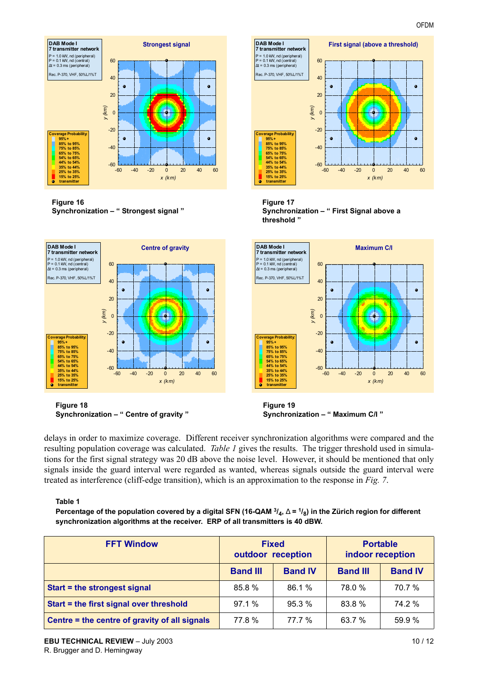![](_page_9_Figure_1.jpeg)

#### **Figure 16 Synchronization - " Strongest signal "**

![](_page_9_Figure_3.jpeg)

#### **Figure 17 Synchronization - " First Signal above a threshold î**

![](_page_9_Figure_5.jpeg)

delays in order to maximize coverage. Different receiver synchronization algorithms were compared and the resulting population coverage was calculated. *Table 1* gives the results. The trigger threshold used in simulations for the first signal strategy was 20 dB above the noise level. However, it should be mentioned that only signals inside the guard interval were regarded as wanted, whereas signals outside the guard interval were treated as interference (cliff-edge transition), which is an approximation to the response in *Fig. 7*.

#### **Table 1**

Percentage of the population covered by a digital SFN (16-QAM <sup>3</sup>/<sub>4</sub>, ∆ = <sup>1</sup>/<sub>8</sub>) in the Zürich region for different **synchronization algorithms at the receiver. ERP of all transmitters is 40 dBW.**

| <b>FFT Window</b>                             | <b>Fixed</b><br>outdoor reception |                | <b>Portable</b><br>indoor reception |                |
|-----------------------------------------------|-----------------------------------|----------------|-------------------------------------|----------------|
|                                               | <b>Band III</b>                   | <b>Band IV</b> | <b>Band III</b>                     | <b>Band IV</b> |
| Start = the strongest signal                  | 85.8%                             | 86.1 %         | 78.0 %                              | 70.7%          |
| Start = the first signal over threshold       | 97.1%                             | 95.3%          | 83.8%                               | 74.2 %         |
| Centre = the centre of gravity of all signals | 77.8%                             | 77.7%          | 63.7 %                              | 59.9 %         |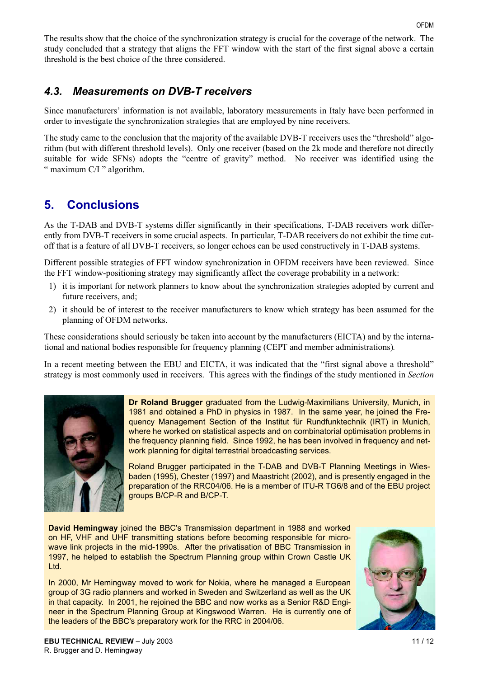The results show that the choice of the synchronization strategy is crucial for the coverage of the network. The study concluded that a strategy that aligns the FFT window with the start of the first signal above a certain threshold is the best choice of the three considered.

## <span id="page-10-0"></span>*4.3. Measurements on DVB-T receivers*

Since manufacturers' information is not available, laboratory measurements in Italy have been performed in order to investigate the synchronization strategies that are employed by nine receivers.

The study came to the conclusion that the majority of the available DVB-T receivers uses the "threshold" algorithm (but with different threshold levels). Only one receiver (based on the 2k mode and therefore not directly suitable for wide SFNs) adopts the "centre of gravity" method. No receiver was identified using the  $\degree$  maximum C/I  $\degree$  algorithm.

# **5. Conclusions**

As the T-DAB and DVB-T systems differ significantly in their specifications, T-DAB receivers work differently from DVB-T receivers in some crucial aspects. In particular, T-DAB receivers do not exhibit the time cutoff that is a feature of all DVB-T receivers, so longer echoes can be used constructively in T-DAB systems.

Different possible strategies of FFT window synchronization in OFDM receivers have been reviewed. Since the FFT window-positioning strategy may significantly affect the coverage probability in a network:

- 1) it is important for network planners to know about the synchronization strategies adopted by current and future receivers, and;
- 2) it should be of interest to the receiver manufacturers to know which strategy has been assumed for the planning of OFDM networks.

These considerations should seriously be taken into account by the manufacturers (EICTA) and by the international and national bodies responsible for frequency planning (CEPT and member administrations)*.*

In a recent meeting between the EBU and EICTA, it was indicated that the "first signal above a threshold" strategy is most commonly used in receivers. This agrees with the findings of the study mentioned in *Section*

![](_page_10_Picture_12.jpeg)

**Dr Roland Brugger** graduated from the Ludwig-Maximilians University, Munich, in 1981 and obtained a PhD in physics in 1987. In the same year, he joined the Frequency Management Section of the Institut für Rundfunktechnik (IRT) in Munich, where he worked on statistical aspects and on combinatorial optimisation problems in the frequency planning field. Since 1992, he has been involved in frequency and network planning for digital terrestrial broadcasting services.

Roland Brugger participated in the T-DAB and DVB-T Planning Meetings in Wiesbaden (1995), Chester (1997) and Maastricht (2002), and is presently engaged in the preparation of the RRC04/06. He is a member of ITU-R TG6/8 and of the EBU project groups B/CP-R and B/CP-T.

**David Hemingway** joined the BBC's Transmission department in 1988 and worked on HF, VHF and UHF transmitting stations before becoming responsible for microwave link projects in the mid-1990s. After the privatisation of BBC Transmission in 1997, he helped to establish the Spectrum Planning group within Crown Castle UK Ltd.

In 2000, Mr Hemingway moved to work for Nokia, where he managed a European group of 3G radio planners and worked in Sweden and Switzerland as well as the UK in that capacity. In 2001, he rejoined the BBC and now works as a Senior R&D Engineer in the Spectrum Planning Group at Kingswood Warren. He is currently one of the leaders of the BBC's preparatory work for the RRC in 2004/06.

![](_page_10_Picture_17.jpeg)